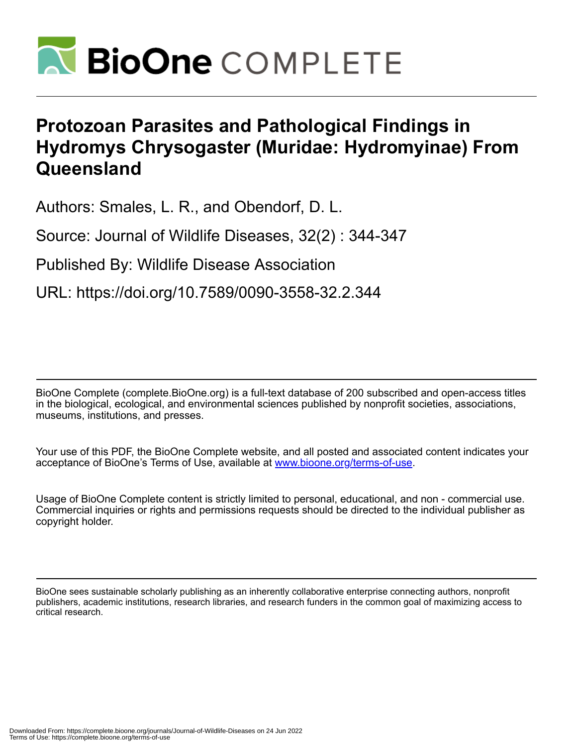

## **Protozoan Parasites and Pathological Findings in Hydromys Chrysogaster (Muridae: Hydromyinae) From Queensland**

Authors: Smales, L. R., and Obendorf, D. L.

Source: Journal of Wildlife Diseases, 32(2) : 344-347

Published By: Wildlife Disease Association

URL: https://doi.org/10.7589/0090-3558-32.2.344

BioOne Complete (complete.BioOne.org) is a full-text database of 200 subscribed and open-access titles in the biological, ecological, and environmental sciences published by nonprofit societies, associations, museums, institutions, and presses.

Your use of this PDF, the BioOne Complete website, and all posted and associated content indicates your acceptance of BioOne's Terms of Use, available at www.bioone.org/terms-of-use.

Usage of BioOne Complete content is strictly limited to personal, educational, and non - commercial use. Commercial inquiries or rights and permissions requests should be directed to the individual publisher as copyright holder.

BioOne sees sustainable scholarly publishing as an inherently collaborative enterprise connecting authors, nonprofit publishers, academic institutions, research libraries, and research funders in the common goal of maximizing access to critical research.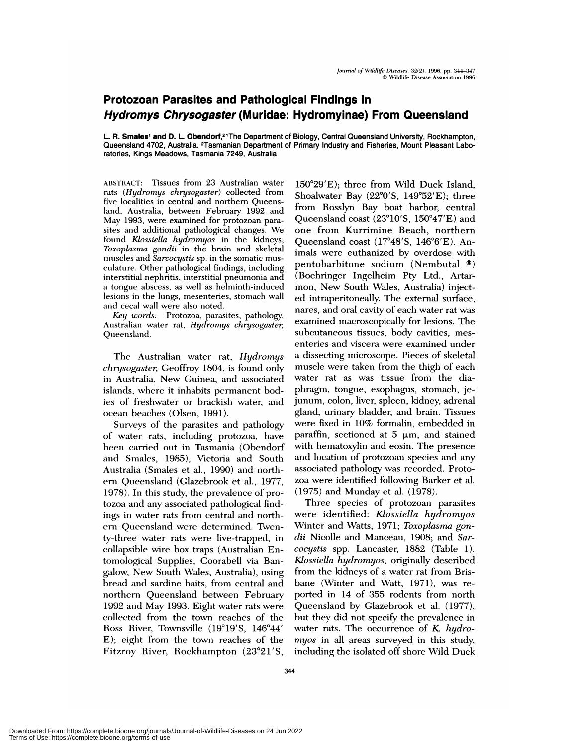## **Protozoan Parasites and Pathological Findings in Hydromys Chrysogaster (Muridae: Hydromyinae) From Queensland**

**L. R. Smales' and D. L. Obendorf,2** 'The Department of Biology, Central Queensland University, Rockhampton, Queensland 4702, Australia. <sup>2</sup>Tasmanian Department of Primary Industry and Fisheries, Mount Pleasant Laboratories, **Kings Meadows, Tasmania 7249, Australia**

ABSTRACT: Tissues from 23 Australian water rats *(Hydromys chrysogaster)* collected from five localities in central and northern Queensland, Australia, between February 1992 and May 1993, were examined for protozoan para sites and additional pathological changes. We found *Kiossiella hydromyos* in the kidneys, Toxoplasma *gondii* in the brain and skeletal muscles and Sarcocystis sp. in the somatic musculature. Other pathological findings, including interstitial nephritis, interstitial pneumonia and a tongue abscess, as well as helminth-induced lesions in the lungs, mesenteries, stomach wall and cecal wall were also noted.

*Key words:* Protozoa, parasites, pathology, Australian water rat, Hydronmys *chrysogaster,* Queensland.

The Australian water rat, *Hydromys chnjsogaster,* Geoffroy 1804, is found only in Australia, New Guinea, and associated islands, where it inhabits permanent bodies of freslmwater or brackish water, and ocean beaches (Olsen, 1991).

Surveys of the parasites and pathology of water rats, including protozoa, have been carried out in Tasmania (Obendorf and Smales, 1985), Victoria and South Australia (Smales et al., 1990) and north ern Queensland (Glazebrook et a!., 1977, 1978). In this study, the prevalence of protozoa and any associated pathological findings in water rats from central and northern Queensland were determined. Twenty-three water rats were live-trapped, in collapsible wire box traps (Australian Entomological Supplies, Coorabell via Bangalow, New South Wales, Australia), using bread and sardine baits, from central and northern Queensland between February 1992 and May 1993. Eight water rats were collected from the town reaches of the Ross River, Townsville (19°19'S, 146°44' E); eight from the town reaches of the Fitzroy River, Rockhampton (23°21'S,

**150#{176}29'E);** three from Wild Duck Island, Shoalwater Bay  $(22^{\circ}0'S, 149^{\circ}52'E);$  three from Rosslyn Bay boat harbor, central Queensland coast  $(23^{\circ}10'$ S,  $150^{\circ}47'E)$  and one from Kurrimine Beach, northern Queensland coast  $(17^{\circ}48'$ S,  $146^{\circ}6'E)$ . Animals were euthanized by overdose with pentobarbitone sodium (Nembutal  $\infty$ ) (Boehringer Ingelheim Pty Ltd., Artarmon, New South Wales, Australia) injected intraperitoneally. The external surface, nares, and oral cavity of each water rat was examined macroscopically for lesions. The subcutaneous tissues, body cavities, mes enteries and viscera were examined under a dissecting microscope. Pieces of skeletal muscle were taken from the thigh of each water rat as was tissue from the diaphragm, tongue, esophagus, stomach, jejunum, colon, liver, spleen, kidney, adrenal gland, urinary bladder, and brain. Tissues were fixed in 10% formalin, embedded in paraffin, sectioned at  $5 \mu m$ , and stained with hematoxylin and eosin. The presence and location of protozoan species and any associated pathology was recorded. Proto zoa were identified following Barker et a!. (1975) and Munday et al. (1978).

Three species of protozoan parasites were identified: *Kiossiella hydromyos* Winter and Watts, 1971; *Toxoplasma gondii* Nicolle and Manceau, 1908; and *Sarcocystis* spp. Lancaster, 1882 (Table 1). *Kiossiella hydromyos,* originally described from the kidneys of a water rat from Brisbane (Winter and Watt, 1971), was re ported in 14 of 355 rodents from north Queensland by Glazebrook et al. (1977), but they did not specify the prevalence in water rats. The occurrence of *K hydromyos* in all areas surveyed in this study, including the isolated off shore Wild Duck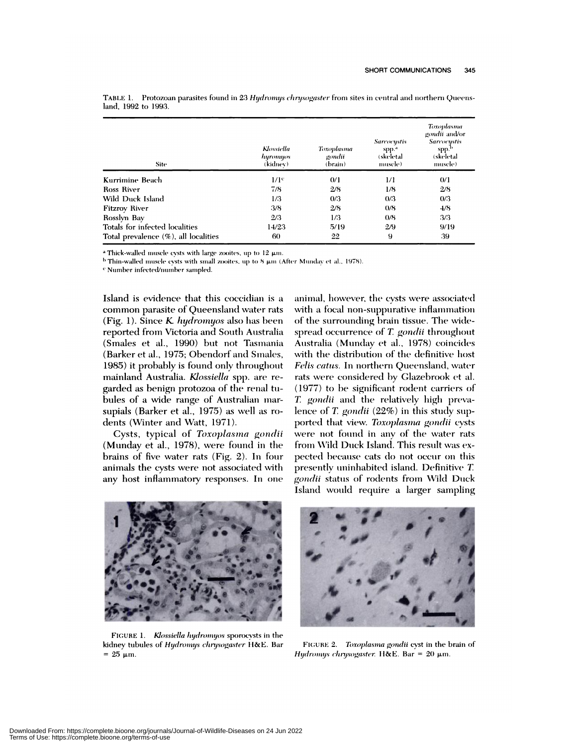| <b>Site</b>                          | Klossiella<br>hyromyos<br>(kidnev). | Toxoplasma<br>gondii<br>(brain) | <b>Sarcocystis</b><br>spp."<br>(skeletal<br>muscle) | Toxoplasma<br>gondii and/or<br><b>Sarcocustis</b><br>spp.b<br>(skeletal<br>muscle) |
|--------------------------------------|-------------------------------------|---------------------------------|-----------------------------------------------------|------------------------------------------------------------------------------------|
| Kurrimine Beach                      | $1/\mathrm{I}^c$                    | 0/1                             | 1/1                                                 | 0/1                                                                                |
| Ross River                           | 7/8                                 | 2/8                             | 1/8                                                 | 2/8                                                                                |
| Wild Duck Island                     | 1/3                                 | 0/3                             | 0/3                                                 | 0/3                                                                                |
| <b>Fitzroy River</b>                 | 3/8                                 | 2/8                             | 0/8                                                 | 4/8                                                                                |
| Rosslyn Bay                          | 2/3                                 | 1/3                             | 0/8                                                 | 3/3                                                                                |
| Totals for infected localities       | 14/23                               | 5/19                            | 2/9                                                 | 9/19                                                                               |
| Total prevalence (%), all localities | 60                                  | 22                              | 9                                                   | 39                                                                                 |

TABLE 1. Protozoan parasites found in 23 Hydromys chrysogaster from sites in central and northern Queensland, 1992 to 1993.

a Thick-walled muscle cysts with large zooites, up to 12  $\mu$ m.

<sup>b</sup> Thin-walled muscle cysts with small zooites, up to  $8 \mu m$  (After Munday et al., 1978).

<sup>c</sup> Number infected/number sampled.

Island is evidence that this coccidian is a common parasite of Queensland water rats (Fig. 1). Since  $K$  *hydromyos* also has been reported from Victoria and South Australia (Smales et al., 1990) but not Tasmania (Barker et al., 1975; Obendorf and Smales, 1985) it probably is found only throughout mainland Australia. Klossiella spp. are regarded as benign protozoa of the renal tubules of a wide range of Australian marsupials (Barker et al., 1975) as well as rodents (Winter and Watt, 1971).

Cysts, typical of Toxoplasma gondii (Munday et al., 1978), were found in the brains of five water rats (Fig. 2). In four animals the cysts were not associated with any host inflammatory responses. In one

animal, however, the cysts were associated with a focal non-suppurative inflammation of the surrounding brain tissue. The widespread occurrence of T. gondii throughout Australia (Munday et al., 1978) coincides with the distribution of the definitive host Felis catus. In northern Queensland, water rats were considered by Glazebrook et al. (1977) to be significant rodent carriers of T. gondii and the relatively high prevalence of T. gondii  $(22%)$  in this study supported that view. Toxoplasma gondii cysts were not found in any of the water rats from Wild Duck Island. This result was expected because cats do not occur on this presently uninhabited island. Definitive T. gondii status of rodents from Wild Duck Island would require a larger sampling



FIGURE 1. Klossiella hydromyos sporocysts in the kidney tubules of Hydromys chrysogaster H&E. Bar  $= 25 \mu m$ .



FIGURE 2. Toxoplasma gondii cyst in the brain of Hydromys chrysogaster. H&E. Bar = 20  $\mu$ m.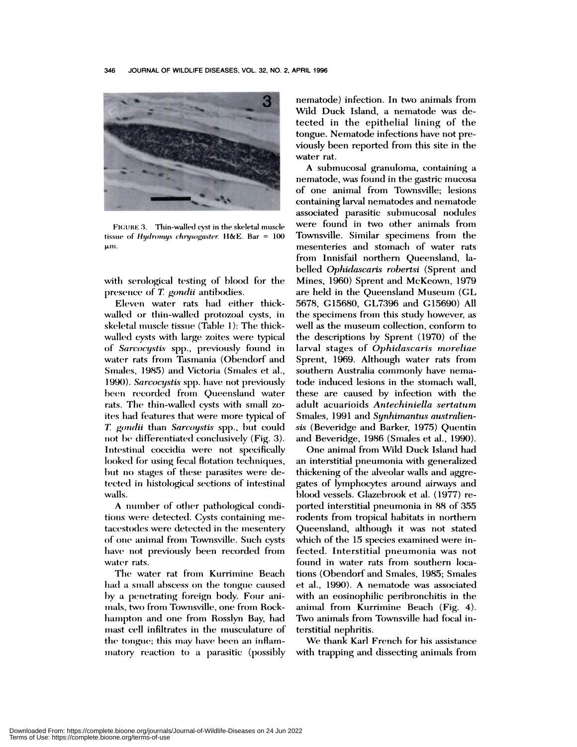

FIGURE 3. Thin-walled cyst in the skeletal muscle tissue of Hydromys chrysogaster. H&E. Bar =  $100$ μm.

with serological testing of blood for the presence of T. gondii antibodies.

Eleven water rats had either thickwalled or thin-walled protozoal cysts, in skeletal muscle tissue (Table 1): The thickwalled cysts with large zoites were typical of Sarcocystis spp., previously found in water rats from Tasmania (Obendorf and Smales, 1985) and Victoria (Smales et al., 1990). Sarcocystis spp. have not previously been recorded from Queensland water rats. The thin-walled cysts with small zoites had features that were more typical of T. gondii than Sarcoystis spp., but could not be differentiated conclusively (Fig. 3). Intestinal coccidia were not specifically looked for using fecal flotation techniques, but no stages of these parasites were detected in histological sections of intestinal walls.

A number of other pathological conditions were detected. Cysts containing metacestodes were detected in the mesentery of one animal from Townsville. Such cysts have not previously been recorded from water rats.

The water rat from Kurrimine Beach had a small abscess on the tongue caused by a penetrating foreign body. Four animals, two from Townsville, one from Rockhampton and one from Rosslyn Bay, had mast cell infiltrates in the musculature of the tongue; this may have been an inflammatory reaction to a parasitic (possibly nematode) infection. In two animals from Wild Duck Island, a nematode was detected in the epithelial lining of the tongue. Nematode infections have not previously been reported from this site in the water rat.

A submucosal granuloma, containing a nematode, was found in the gastric mucosa of one animal from Townsville; lesions containing larval nematodes and nematode associated parasitic submucosal nodules were found in two other animals from Townsville. Similar specimens from the mesenteries and stomach of water rats from Innisfail northern Queensland, labelled Ophidascaris robertsi (Sprent and Mines, 1960) Sprent and McKeown, 1979 are held in the Queensland Museum (GL 5678, G15680, GL7396 and G15690) All the specimens from this study however, as well as the museum collection, conform to the descriptions by Sprent (1970) of the larval stages of Ophidascaris moreliae Sprent, 1969. Although water rats from southern Australia commonly have nematode induced lesions in the stomach wall. these are caused by infection with the adult acuarioids Antechiniella sertatum Smales, 1991 and Synhimantus australiensis (Beveridge and Barker, 1975) Quentin and Beveridge, 1986 (Smales et al., 1990).

One animal from Wild Duck Island had an interstitial pneumonia with generalized thickening of the alveolar walls and aggregates of lymphocytes around airways and blood vessels. Glazebrook et al. (1977) reported interstitial pneumonia in 88 of 355 rodents from tropical habitats in northern Queensland, although it was not stated which of the 15 species examined were infected. Interstitial pneumonia was not found in water rats from southern locations (Obendorf and Smales, 1985; Smales et al., 1990). A nematode was associated with an eosinophilic peribronchitis in the animal from Kurrimine Beach (Fig. 4). Two animals from Townsville had focal interstitial nephritis.

We thank Karl French for his assistance with trapping and dissecting animals from